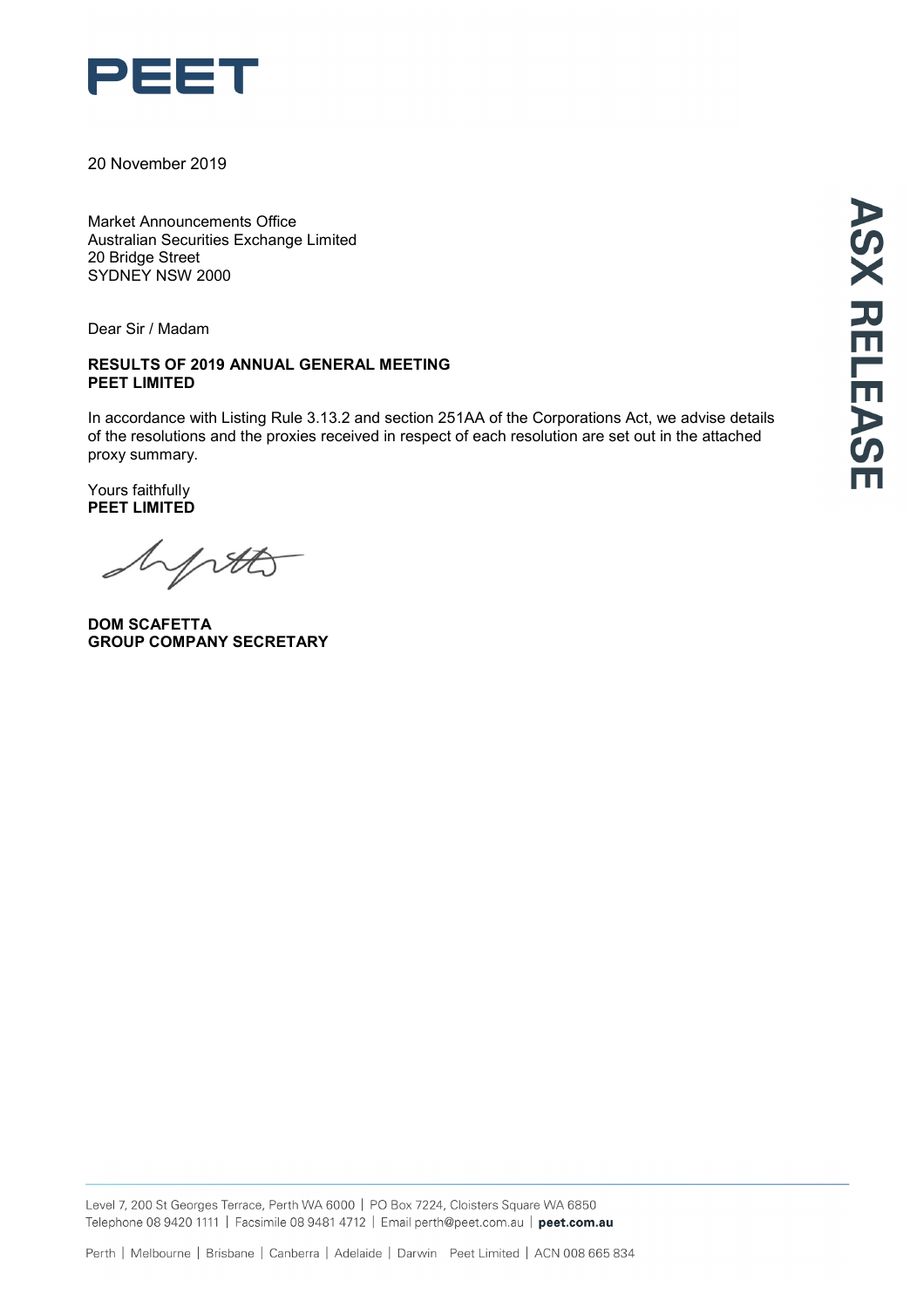

20 November 2019

Market Announcements Office Australian Securities Exchange Limited 20 Bridge Street SYDNEY NSW 2000

Dear Sir / Madam

#### **RESULTS OF 2019 ANNUAL GENERAL MEETING PEET LIMITED**

In accordance with Listing Rule 3.13.2 and section 251AA of the Corporations Act, we advise details of the resolutions and the proxies received in respect of each resolution are set out in the attached proxy summary.

Yours faithfully **PEET LIMITED**

hptto

**DOM SCAFETTA GROUP COMPANY SECRETARY**

Level 7, 200 St Georges Terrace, Perth WA 6000 | PO Box 7224, Cloisters Square WA 6850 Telephone 08 9420 1111 | Facsimile 08 9481 4712 | Email perth@peet.com.au | peet.com.au